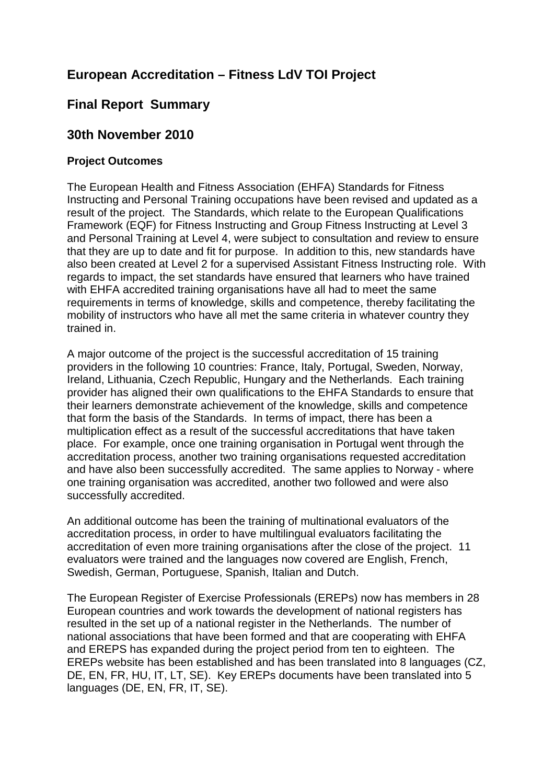# **European Accreditation – Fitness LdV TOI Project**

# **Final Report Summary**

## **30th November 2010**

## **Project Outcomes**

The European Health and Fitness Association (EHFA) Standards for Fitness Instructing and Personal Training occupations have been revised and updated as a result of the project. The Standards, which relate to the European Qualifications Framework (EQF) for Fitness Instructing and Group Fitness Instructing at Level 3 and Personal Training at Level 4, were subject to consultation and review to ensure that they are up to date and fit for purpose. In addition to this, new standards have also been created at Level 2 for a supervised Assistant Fitness Instructing role. With regards to impact, the set standards have ensured that learners who have trained with EHFA accredited training organisations have all had to meet the same requirements in terms of knowledge, skills and competence, thereby facilitating the mobility of instructors who have all met the same criteria in whatever country they trained in.

A major outcome of the project is the successful accreditation of 15 training providers in the following 10 countries: France, Italy, Portugal, Sweden, Norway, Ireland, Lithuania, Czech Republic, Hungary and the Netherlands. Each training provider has aligned their own qualifications to the EHFA Standards to ensure that their learners demonstrate achievement of the knowledge, skills and competence that form the basis of the Standards. In terms of impact, there has been a multiplication effect as a result of the successful accreditations that have taken place. For example, once one training organisation in Portugal went through the accreditation process, another two training organisations requested accreditation and have also been successfully accredited. The same applies to Norway - where one training organisation was accredited, another two followed and were also successfully accredited.

An additional outcome has been the training of multinational evaluators of the accreditation process, in order to have multilingual evaluators facilitating the accreditation of even more training organisations after the close of the project. 11 evaluators were trained and the languages now covered are English, French, Swedish, German, Portuguese, Spanish, Italian and Dutch.

The European Register of Exercise Professionals (EREPs) now has members in 28 European countries and work towards the development of national registers has resulted in the set up of a national register in the Netherlands. The number of national associations that have been formed and that are cooperating with EHFA and EREPS has expanded during the project period from ten to eighteen. The EREPs website has been established and has been translated into 8 languages (CZ, DE, EN, FR, HU, IT, LT, SE). Key EREPs documents have been translated into 5 languages (DE, EN, FR, IT, SE).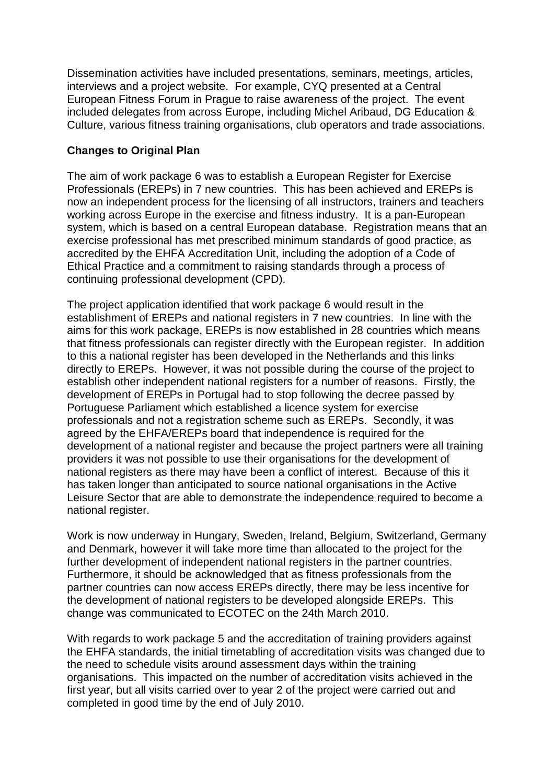Dissemination activities have included presentations, seminars, meetings, articles, interviews and a project website. For example, CYQ presented at a Central European Fitness Forum in Prague to raise awareness of the project. The event included delegates from across Europe, including Michel Aribaud, DG Education & Culture, various fitness training organisations, club operators and trade associations.

## **Changes to Original Plan**

The aim of work package 6 was to establish a European Register for Exercise Professionals (EREPs) in 7 new countries. This has been achieved and EREPs is now an independent process for the licensing of all instructors, trainers and teachers working across Europe in the exercise and fitness industry. It is a pan-European system, which is based on a central European database. Registration means that an exercise professional has met prescribed minimum standards of good practice, as accredited by the EHFA Accreditation Unit, including the adoption of a Code of Ethical Practice and a commitment to raising standards through a process of continuing professional development (CPD).

The project application identified that work package 6 would result in the establishment of EREPs and national registers in 7 new countries. In line with the aims for this work package, EREPs is now established in 28 countries which means that fitness professionals can register directly with the European register. In addition to this a national register has been developed in the Netherlands and this links directly to EREPs. However, it was not possible during the course of the project to establish other independent national registers for a number of reasons. Firstly, the development of EREPs in Portugal had to stop following the decree passed by Portuguese Parliament which established a licence system for exercise professionals and not a registration scheme such as EREPs. Secondly, it was agreed by the EHFA/EREPs board that independence is required for the development of a national register and because the project partners were all training providers it was not possible to use their organisations for the development of national registers as there may have been a conflict of interest. Because of this it has taken longer than anticipated to source national organisations in the Active Leisure Sector that are able to demonstrate the independence required to become a national register.

Work is now underway in Hungary, Sweden, Ireland, Belgium, Switzerland, Germany and Denmark, however it will take more time than allocated to the project for the further development of independent national registers in the partner countries. Furthermore, it should be acknowledged that as fitness professionals from the partner countries can now access EREPs directly, there may be less incentive for the development of national registers to be developed alongside EREPs. This change was communicated to ECOTEC on the 24th March 2010.

With regards to work package 5 and the accreditation of training providers against the EHFA standards, the initial timetabling of accreditation visits was changed due to the need to schedule visits around assessment days within the training organisations. This impacted on the number of accreditation visits achieved in the first year, but all visits carried over to year 2 of the project were carried out and completed in good time by the end of July 2010.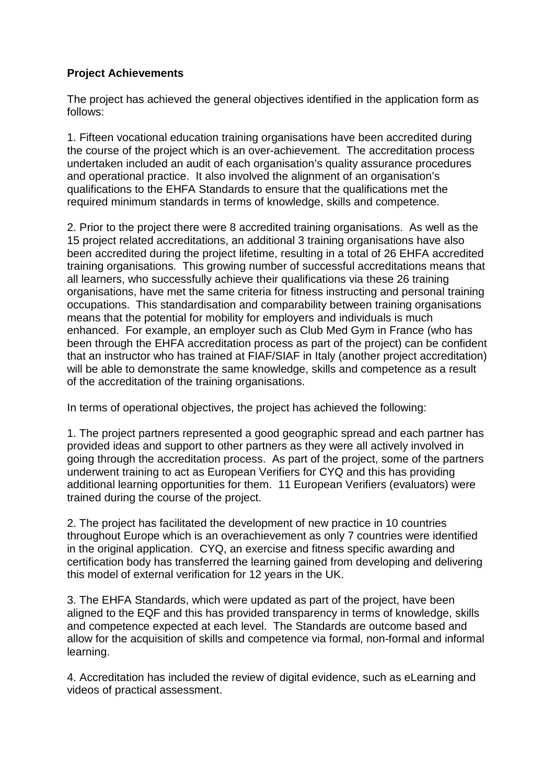## **Project Achievements**

The project has achieved the general objectives identified in the application form as follows:

1. Fifteen vocational education training organisations have been accredited during the course of the project which is an over-achievement. The accreditation process undertaken included an audit of each organisation's quality assurance procedures and operational practice. It also involved the alignment of an organisation's qualifications to the EHFA Standards to ensure that the qualifications met the required minimum standards in terms of knowledge, skills and competence.

2. Prior to the project there were 8 accredited training organisations. As well as the 15 project related accreditations, an additional 3 training organisations have also been accredited during the project lifetime, resulting in a total of 26 EHFA accredited training organisations. This growing number of successful accreditations means that all learners, who successfully achieve their qualifications via these 26 training organisations, have met the same criteria for fitness instructing and personal training occupations. This standardisation and comparability between training organisations means that the potential for mobility for employers and individuals is much enhanced. For example, an employer such as Club Med Gym in France (who has been through the EHFA accreditation process as part of the project) can be confident that an instructor who has trained at FIAF/SIAF in Italy (another project accreditation) will be able to demonstrate the same knowledge, skills and competence as a result of the accreditation of the training organisations.

In terms of operational objectives, the project has achieved the following:

1. The project partners represented a good geographic spread and each partner has provided ideas and support to other partners as they were all actively involved in going through the accreditation process. As part of the project, some of the partners underwent training to act as European Verifiers for CYQ and this has providing additional learning opportunities for them. 11 European Verifiers (evaluators) were trained during the course of the project.

2. The project has facilitated the development of new practice in 10 countries throughout Europe which is an overachievement as only 7 countries were identified in the original application. CYQ, an exercise and fitness specific awarding and certification body has transferred the learning gained from developing and delivering this model of external verification for 12 years in the UK.

3. The EHFA Standards, which were updated as part of the project, have been aligned to the EQF and this has provided transparency in terms of knowledge, skills and competence expected at each level. The Standards are outcome based and allow for the acquisition of skills and competence via formal, non-formal and informal learning.

4. Accreditation has included the review of digital evidence, such as eLearning and videos of practical assessment.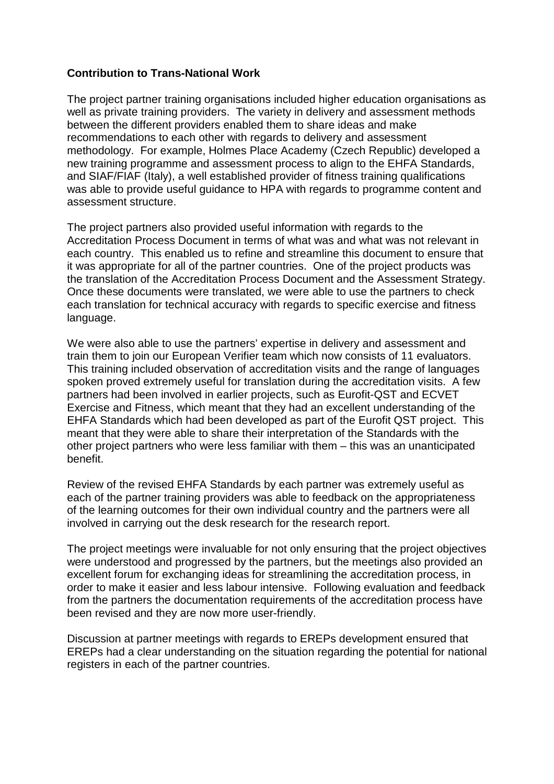## **Contribution to Trans-National Work**

The project partner training organisations included higher education organisations as well as private training providers. The variety in delivery and assessment methods between the different providers enabled them to share ideas and make recommendations to each other with regards to delivery and assessment methodology. For example, Holmes Place Academy (Czech Republic) developed a new training programme and assessment process to align to the EHFA Standards, and SIAF/FIAF (Italy), a well established provider of fitness training qualifications was able to provide useful guidance to HPA with regards to programme content and assessment structure.

The project partners also provided useful information with regards to the Accreditation Process Document in terms of what was and what was not relevant in each country. This enabled us to refine and streamline this document to ensure that it was appropriate for all of the partner countries. One of the project products was the translation of the Accreditation Process Document and the Assessment Strategy. Once these documents were translated, we were able to use the partners to check each translation for technical accuracy with regards to specific exercise and fitness language.

We were also able to use the partners' expertise in delivery and assessment and train them to join our European Verifier team which now consists of 11 evaluators. This training included observation of accreditation visits and the range of languages spoken proved extremely useful for translation during the accreditation visits. A few partners had been involved in earlier projects, such as Eurofit-QST and ECVET Exercise and Fitness, which meant that they had an excellent understanding of the EHFA Standards which had been developed as part of the Eurofit QST project. This meant that they were able to share their interpretation of the Standards with the other project partners who were less familiar with them – this was an unanticipated benefit.

Review of the revised EHFA Standards by each partner was extremely useful as each of the partner training providers was able to feedback on the appropriateness of the learning outcomes for their own individual country and the partners were all involved in carrying out the desk research for the research report.

The project meetings were invaluable for not only ensuring that the project objectives were understood and progressed by the partners, but the meetings also provided an excellent forum for exchanging ideas for streamlining the accreditation process, in order to make it easier and less labour intensive. Following evaluation and feedback from the partners the documentation requirements of the accreditation process have been revised and they are now more user-friendly.

Discussion at partner meetings with regards to EREPs development ensured that EREPs had a clear understanding on the situation regarding the potential for national registers in each of the partner countries.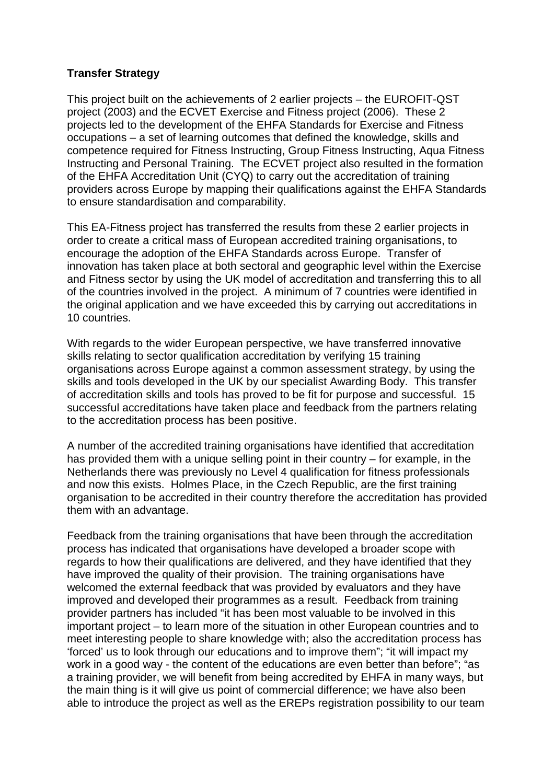## **Transfer Strategy**

This project built on the achievements of 2 earlier projects – the EUROFIT-QST project (2003) and the ECVET Exercise and Fitness project (2006). These 2 projects led to the development of the EHFA Standards for Exercise and Fitness occupations – a set of learning outcomes that defined the knowledge, skills and competence required for Fitness Instructing, Group Fitness Instructing, Aqua Fitness Instructing and Personal Training. The ECVET project also resulted in the formation of the EHFA Accreditation Unit (CYQ) to carry out the accreditation of training providers across Europe by mapping their qualifications against the EHFA Standards to ensure standardisation and comparability.

This EA-Fitness project has transferred the results from these 2 earlier projects in order to create a critical mass of European accredited training organisations, to encourage the adoption of the EHFA Standards across Europe. Transfer of innovation has taken place at both sectoral and geographic level within the Exercise and Fitness sector by using the UK model of accreditation and transferring this to all of the countries involved in the project. A minimum of 7 countries were identified in the original application and we have exceeded this by carrying out accreditations in 10 countries.

With regards to the wider European perspective, we have transferred innovative skills relating to sector qualification accreditation by verifying 15 training organisations across Europe against a common assessment strategy, by using the skills and tools developed in the UK by our specialist Awarding Body. This transfer of accreditation skills and tools has proved to be fit for purpose and successful. 15 successful accreditations have taken place and feedback from the partners relating to the accreditation process has been positive.

A number of the accredited training organisations have identified that accreditation has provided them with a unique selling point in their country – for example, in the Netherlands there was previously no Level 4 qualification for fitness professionals and now this exists. Holmes Place, in the Czech Republic, are the first training organisation to be accredited in their country therefore the accreditation has provided them with an advantage.

Feedback from the training organisations that have been through the accreditation process has indicated that organisations have developed a broader scope with regards to how their qualifications are delivered, and they have identified that they have improved the quality of their provision. The training organisations have welcomed the external feedback that was provided by evaluators and they have improved and developed their programmes as a result. Feedback from training provider partners has included "it has been most valuable to be involved in this important project – to learn more of the situation in other European countries and to meet interesting people to share knowledge with; also the accreditation process has 'forced' us to look through our educations and to improve them"; "it will impact my work in a good way - the content of the educations are even better than before"; "as a training provider, we will benefit from being accredited by EHFA in many ways, but the main thing is it will give us point of commercial difference; we have also been able to introduce the project as well as the EREPs registration possibility to our team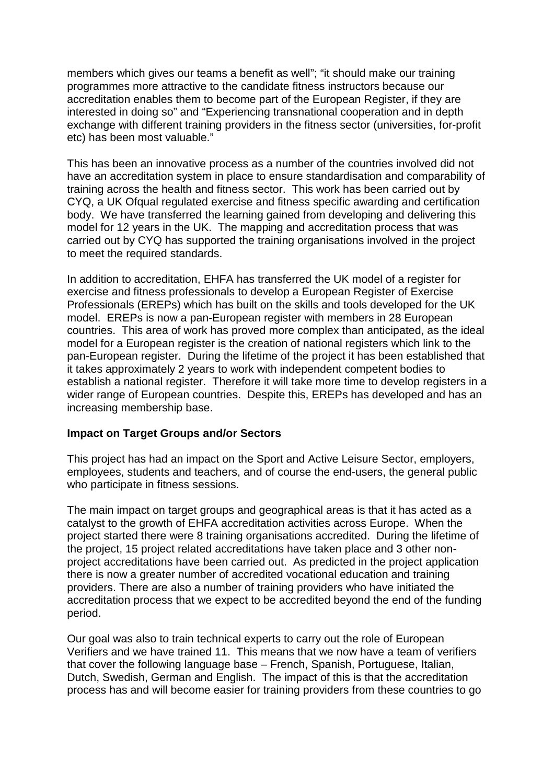members which gives our teams a benefit as well"; "it should make our training programmes more attractive to the candidate fitness instructors because our accreditation enables them to become part of the European Register, if they are interested in doing so" and "Experiencing transnational cooperation and in depth exchange with different training providers in the fitness sector (universities, for-profit etc) has been most valuable."

This has been an innovative process as a number of the countries involved did not have an accreditation system in place to ensure standardisation and comparability of training across the health and fitness sector. This work has been carried out by CYQ, a UK Ofqual regulated exercise and fitness specific awarding and certification body. We have transferred the learning gained from developing and delivering this model for 12 years in the UK. The mapping and accreditation process that was carried out by CYQ has supported the training organisations involved in the project to meet the required standards.

In addition to accreditation, EHFA has transferred the UK model of a register for exercise and fitness professionals to develop a European Register of Exercise Professionals (EREPs) which has built on the skills and tools developed for the UK model. EREPs is now a pan-European register with members in 28 European countries. This area of work has proved more complex than anticipated, as the ideal model for a European register is the creation of national registers which link to the pan-European register. During the lifetime of the project it has been established that it takes approximately 2 years to work with independent competent bodies to establish a national register. Therefore it will take more time to develop registers in a wider range of European countries. Despite this, EREPs has developed and has an increasing membership base.

## **Impact on Target Groups and/or Sectors**

This project has had an impact on the Sport and Active Leisure Sector, employers, employees, students and teachers, and of course the end-users, the general public who participate in fitness sessions.

The main impact on target groups and geographical areas is that it has acted as a catalyst to the growth of EHFA accreditation activities across Europe. When the project started there were 8 training organisations accredited. During the lifetime of the project, 15 project related accreditations have taken place and 3 other nonproject accreditations have been carried out. As predicted in the project application there is now a greater number of accredited vocational education and training providers. There are also a number of training providers who have initiated the accreditation process that we expect to be accredited beyond the end of the funding period.

Our goal was also to train technical experts to carry out the role of European Verifiers and we have trained 11. This means that we now have a team of verifiers that cover the following language base – French, Spanish, Portuguese, Italian, Dutch, Swedish, German and English. The impact of this is that the accreditation process has and will become easier for training providers from these countries to go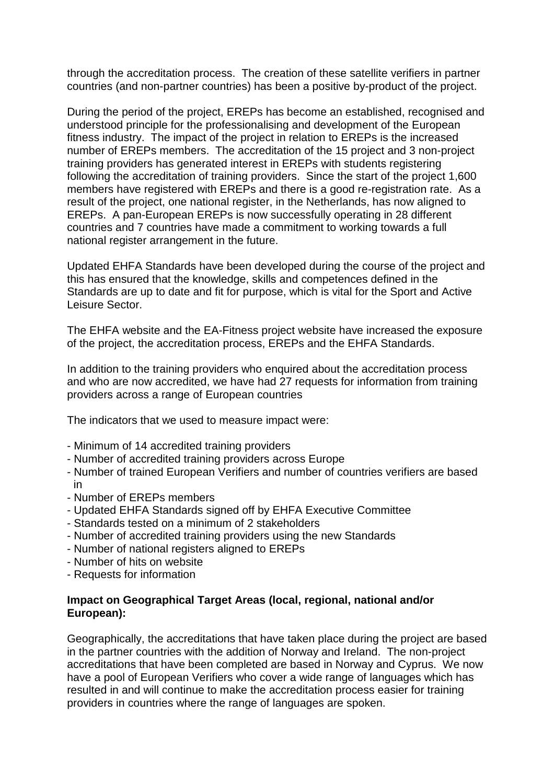through the accreditation process. The creation of these satellite verifiers in partner countries (and non-partner countries) has been a positive by-product of the project.

During the period of the project, EREPs has become an established, recognised and understood principle for the professionalising and development of the European fitness industry. The impact of the project in relation to EREPs is the increased number of EREPs members. The accreditation of the 15 project and 3 non-project training providers has generated interest in EREPs with students registering following the accreditation of training providers. Since the start of the project 1,600 members have registered with EREPs and there is a good re-registration rate. As a result of the project, one national register, in the Netherlands, has now aligned to EREPs. A pan-European EREPs is now successfully operating in 28 different countries and 7 countries have made a commitment to working towards a full national register arrangement in the future.

Updated EHFA Standards have been developed during the course of the project and this has ensured that the knowledge, skills and competences defined in the Standards are up to date and fit for purpose, which is vital for the Sport and Active Leisure Sector.

The EHFA website and the EA-Fitness project website have increased the exposure of the project, the accreditation process, EREPs and the EHFA Standards.

In addition to the training providers who enquired about the accreditation process and who are now accredited, we have had 27 requests for information from training providers across a range of European countries

The indicators that we used to measure impact were:

- Minimum of 14 accredited training providers
- Number of accredited training providers across Europe
- Number of trained European Verifiers and number of countries verifiers are based in
- Number of EREPs members
- Updated EHFA Standards signed off by EHFA Executive Committee
- Standards tested on a minimum of 2 stakeholders
- Number of accredited training providers using the new Standards
- Number of national registers aligned to EREPs
- Number of hits on website
- Requests for information

#### **Impact on Geographical Target Areas (local, regional, national and/or European):**

Geographically, the accreditations that have taken place during the project are based in the partner countries with the addition of Norway and Ireland. The non-project accreditations that have been completed are based in Norway and Cyprus. We now have a pool of European Verifiers who cover a wide range of languages which has resulted in and will continue to make the accreditation process easier for training providers in countries where the range of languages are spoken.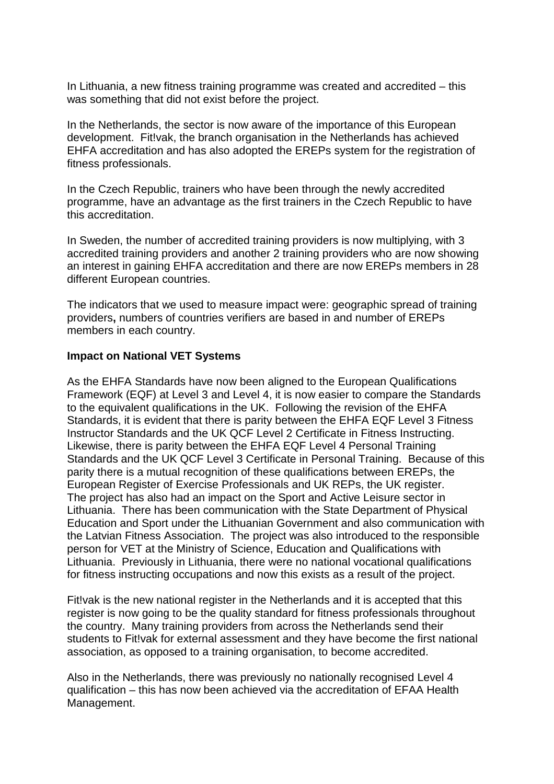In Lithuania, a new fitness training programme was created and accredited – this was something that did not exist before the project.

In the Netherlands, the sector is now aware of the importance of this European development. Fit!vak, the branch organisation in the Netherlands has achieved EHFA accreditation and has also adopted the EREPs system for the registration of fitness professionals.

In the Czech Republic, trainers who have been through the newly accredited programme, have an advantage as the first trainers in the Czech Republic to have this accreditation.

In Sweden, the number of accredited training providers is now multiplying, with 3 accredited training providers and another 2 training providers who are now showing an interest in gaining EHFA accreditation and there are now EREPs members in 28 different European countries.

The indicators that we used to measure impact were: geographic spread of training providers**,** numbers of countries verifiers are based in and number of EREPs members in each country.

## **Impact on National VET Systems**

As the EHFA Standards have now been aligned to the European Qualifications Framework (EQF) at Level 3 and Level 4, it is now easier to compare the Standards to the equivalent qualifications in the UK. Following the revision of the EHFA Standards, it is evident that there is parity between the EHFA EQF Level 3 Fitness Instructor Standards and the UK QCF Level 2 Certificate in Fitness Instructing. Likewise, there is parity between the EHFA EQF Level 4 Personal Training Standards and the UK QCF Level 3 Certificate in Personal Training. Because of this parity there is a mutual recognition of these qualifications between EREPs, the European Register of Exercise Professionals and UK REPs, the UK register. The project has also had an impact on the Sport and Active Leisure sector in Lithuania. There has been communication with the State Department of Physical Education and Sport under the Lithuanian Government and also communication with the Latvian Fitness Association. The project was also introduced to the responsible person for VET at the Ministry of Science, Education and Qualifications with Lithuania. Previously in Lithuania, there were no national vocational qualifications for fitness instructing occupations and now this exists as a result of the project.

Fit!vak is the new national register in the Netherlands and it is accepted that this register is now going to be the quality standard for fitness professionals throughout the country. Many training providers from across the Netherlands send their students to Fit!vak for external assessment and they have become the first national association, as opposed to a training organisation, to become accredited.

Also in the Netherlands, there was previously no nationally recognised Level 4 qualification – this has now been achieved via the accreditation of EFAA Health Management.